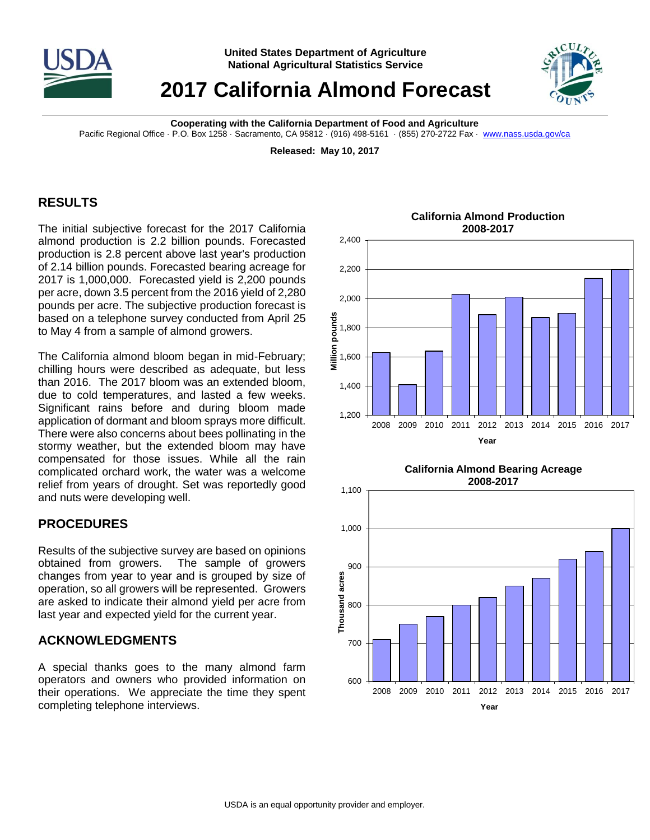

# **2017 California Almond Forecast**



**Cooperating with the California Department of Food and Agriculture**

Pacific Regional Office · P.O. Box 1258 · Sacramento, CA 95812 · (916) 498-5161 · (855) 270-2722 Fax · [www.nass.usda.gov/ca](http://www.nass.usda.gov/ca)

**Released: May 10, 2017**

### **RESULTS**

The initial subjective forecast for the 2017 California almond production is 2.2 billion pounds. Forecasted production is 2.8 percent above last year's production of 2.14 billion pounds. Forecasted bearing acreage for 2017 is 1,000,000. Forecasted yield is 2,200 pounds per acre, down 3.5 percent from the 2016 yield of 2,280 pounds per acre. The subjective production forecast is based on a telephone survey conducted from April 25 to May 4 from a sample of almond growers.

The California almond bloom began in mid-February; chilling hours were described as adequate, but less than 2016. The 2017 bloom was an extended bloom, due to cold temperatures, and lasted a few weeks. Significant rains before and during bloom made application of dormant and bloom sprays more difficult. There were also concerns about bees pollinating in the stormy weather, but the extended bloom may have compensated for those issues. While all the rain complicated orchard work, the water was a welcome relief from years of drought. Set was reportedly good and nuts were developing well.

#### **PROCEDURES**

Results of the subjective survey are based on opinions obtained from growers. The sample of growers changes from year to year and is grouped by size of operation, so all growers will be represented. Growers are asked to indicate their almond yield per acre from last year and expected yield for the current year.

## **ACKNOWLEDGMENTS**

A special thanks goes to the many almond farm operators and owners who provided information on their operations. We appreciate the time they spent completing telephone interviews.







#### **California Almond Production 2008-2017**